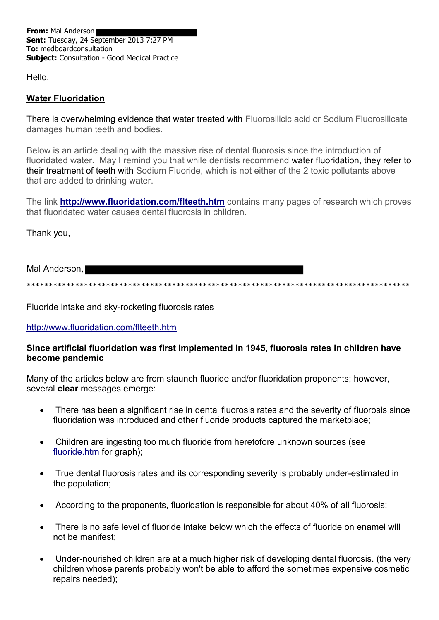From: Mal Anderson Sent: Tuesday, 24 September 2013 7:27 PM To: medboardconsultation **Subject:** Consultation - Good Medical Practice

Hello.

## **Water Fluoridation**

There is overwhelming evidence that water treated with Fluorosilicic acid or Sodium Fluorosilicate damages human teeth and bodies.

Below is an article dealing with the massive rise of dental fluorosis since the introduction of fluoridated water. May I remind you that while dentists recommend water fluoridation, they refer to their treatment of teeth with Sodium Fluoride, which is not either of the 2 toxic pollutants above that are added to drinking water.

The link **http://www.fluoridation.com/flteeth.htm** contains many pages of research which proves that fluoridated water causes dental fluorosis in children.

Thank you,

Mal Anderson,

\*\*\*\*\*\*\*\*\*\*\*\*\*\*\*\*\*\*\*\*\*\*\*\*\*\*\*\*\*\*\*\*\*\*

Fluoride intake and sky-rocketing fluorosis rates

## http://www.fluoridation.com/flteeth.htm

## Since artificial fluoridation was first implemented in 1945, fluorosis rates in children have become pandemic

Many of the articles below are from staunch fluoride and/or fluoridation proponents; however, several clear messages emerge:

- There has been a significant rise in dental fluorosis rates and the severity of fluorosis since  $\bullet$ fluoridation was introduced and other fluoride products captured the marketplace;
- Children are ingesting too much fluoride from heretofore unknown sources (see fluoride.htm for graph);
- True dental fluorosis rates and its corresponding severity is probably under-estimated in the population;
- According to the proponents, fluoridation is responsible for about 40% of all fluorosis;  $\bullet$
- There is no safe level of fluoride intake below which the effects of fluoride on enamel will not be manifest:
- Under-nourished children are at a much higher risk of developing dental fluorosis. (the very children whose parents probably won't be able to afford the sometimes expensive cosmetic repairs needed):